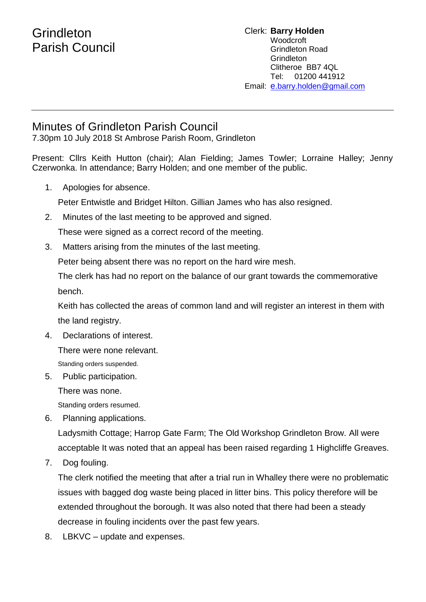## **Grindleton** Parish Council

## Clerk: **Barry Holden** Woodcroft Grindleton Road **Grindleton** Clitheroe BB7 4QL Tel: 01200 441912 Email: [e](mailto:edwardbholden@yahoo.co.uk).barry.holden@gmail.com

## Minutes of Grindleton Parish Council

7.30pm 10 July 2018 St Ambrose Parish Room, Grindleton

Present: Cllrs Keith Hutton (chair); Alan Fielding; James Towler; Lorraine Halley; Jenny Czerwonka. In attendance; Barry Holden; and one member of the public.

1. Apologies for absence.

Peter Entwistle and Bridget Hilton. Gillian James who has also resigned.

2. Minutes of the last meeting to be approved and signed.

These were signed as a correct record of the meeting.

3. Matters arising from the minutes of the last meeting.

Peter being absent there was no report on the hard wire mesh.

The clerk has had no report on the balance of our grant towards the commemorative bench.

Keith has collected the areas of common land and will register an interest in them with the land registry.

4. Declarations of interest.

There were none relevant.

Standing orders suspended.

5. Public participation.

There was none.

Standing orders resumed.

6. Planning applications.

Ladysmith Cottage; Harrop Gate Farm; The Old Workshop Grindleton Brow. All were acceptable It was noted that an appeal has been raised regarding 1 Highcliffe Greaves.

7. Dog fouling.

The clerk notified the meeting that after a trial run in Whalley there were no problematic issues with bagged dog waste being placed in litter bins. This policy therefore will be extended throughout the borough. It was also noted that there had been a steady decrease in fouling incidents over the past few years.

8. LBKVC – update and expenses.